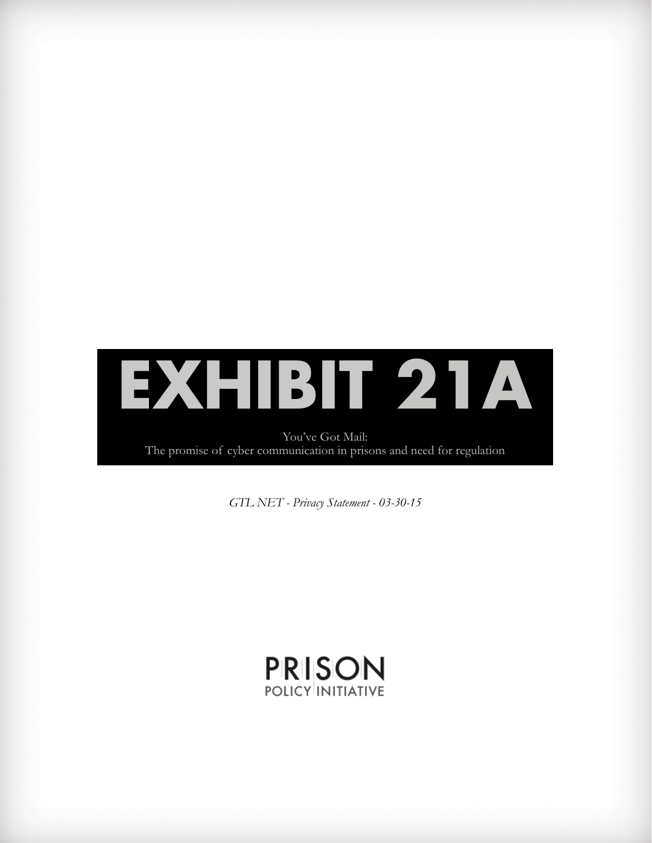

You've Got Mail: The promise of cyber communication in prisons and need for regulation

*GTL NET - Privacy Statement - 03-30-15*

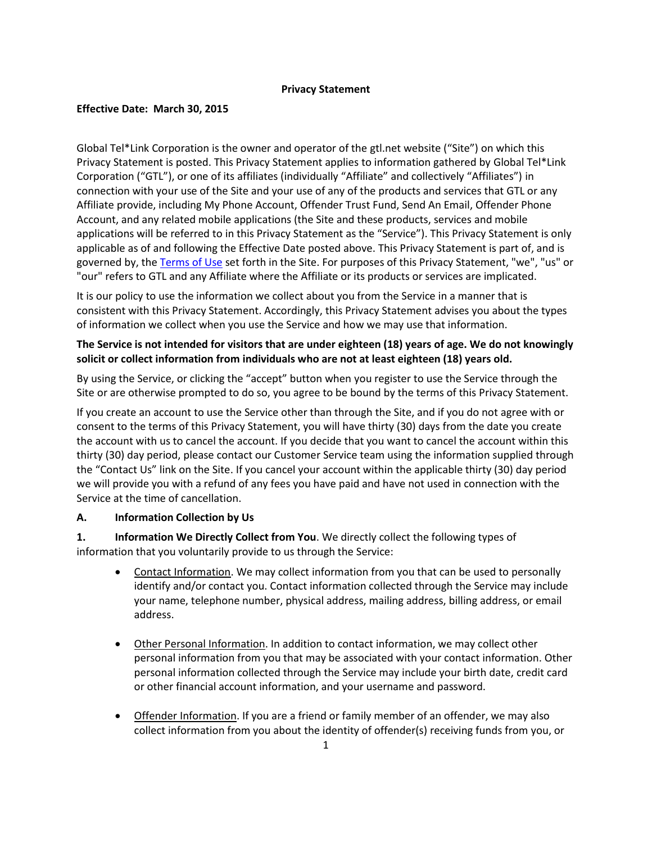#### **Privacy Statement**

### **Effective Date: March 30, 2015**

Global Tel\*Link Corporation is the owner and operator of the gtl.net website ("Site") on which this Privacy Statement is posted. This Privacy Statement applies to information gathered by Global Tel\*Link Corporation ("GTL"), or one of its affiliates (individually "Affiliate" and collectively "Affiliates") in connection with your use of the Site and your use of any of the products and services that GTL or any Affiliate provide, including My Phone Account, Offender Trust Fund, Send An Email, Offender Phone Account, and any related mobile applications (the Site and these products, services and mobile applications will be referred to in this Privacy Statement as the "Service"). This Privacy Statement is only applicable as of and following the Effective Date posted above. This Privacy Statement is part of, and is governed by, the [Terms of Use](http://www.gtl.net/wp-content/uploads/2015/04/GTL%20NET%20Terms%20of%20Use%2003-30-2015.pdf) set forth in the Site. For purposes of this Privacy Statement, "we", "us" or "our" refers to GTL and any Affiliate where the Affiliate or its products or services are implicated.

It is our policy to use the information we collect about you from the Service in a manner that is consistent with this Privacy Statement. Accordingly, this Privacy Statement advises you about the types of information we collect when you use the Service and how we may use that information.

## **The Service is not intended for visitors that are under eighteen (18) years of age. We do not knowingly solicit or collect information from individuals who are not at least eighteen (18) years old.**

By using the Service, or clicking the "accept" button when you register to use the Service through the Site or are otherwise prompted to do so, you agree to be bound by the terms of this Privacy Statement.

If you create an account to use the Service other than through the Site, and if you do not agree with or consent to the terms of this Privacy Statement, you will have thirty (30) days from the date you create the account with us to cancel the account. If you decide that you want to cancel the account within this thirty (30) day period, please contact our Customer Service team using the information supplied through the "Contact Us" link on the Site. If you cancel your account within the applicable thirty (30) day period we will provide you with a refund of any fees you have paid and have not used in connection with the Service at the time of cancellation.

## **A. Information Collection by Us**

**1. Information We Directly Collect from You**. We directly collect the following types of information that you voluntarily provide to us through the Service:

- Contact Information. We may collect information from you that can be used to personally identify and/or contact you. Contact information collected through the Service may include your name, telephone number, physical address, mailing address, billing address, or email address.
- Other Personal Information. In addition to contact information, we may collect other personal information from you that may be associated with your contact information. Other personal information collected through the Service may include your birth date, credit card or other financial account information, and your username and password.
- Offender Information. If you are a friend or family member of an offender, we may also collect information from you about the identity of offender(s) receiving funds from you, or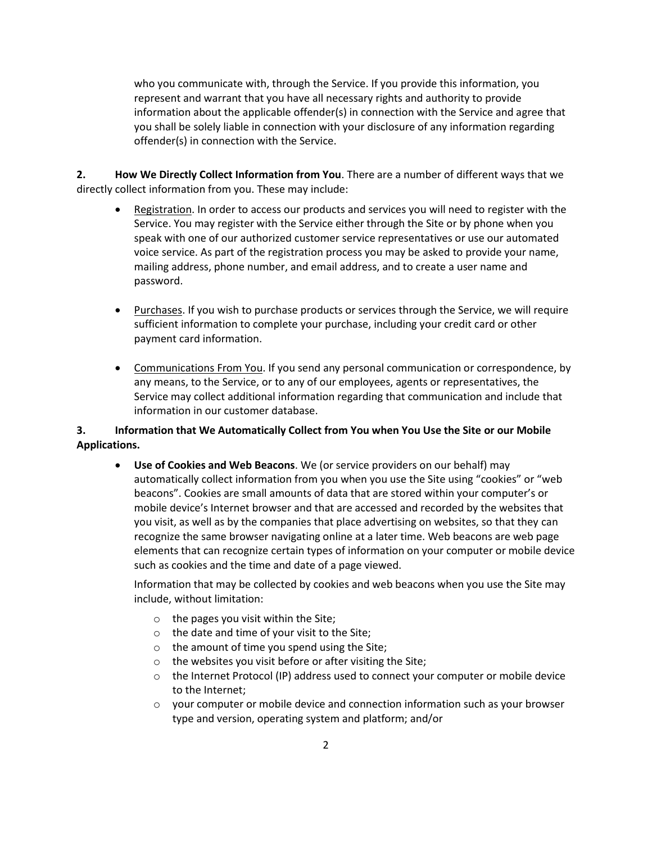who you communicate with, through the Service. If you provide this information, you represent and warrant that you have all necessary rights and authority to provide information about the applicable offender(s) in connection with the Service and agree that you shall be solely liable in connection with your disclosure of any information regarding offender(s) in connection with the Service.

**2. How We Directly Collect Information from You**. There are a number of different ways that we directly collect information from you. These may include:

- Registration. In order to access our products and services you will need to register with the Service. You may register with the Service either through the Site or by phone when you speak with one of our authorized customer service representatives or use our automated voice service. As part of the registration process you may be asked to provide your name, mailing address, phone number, and email address, and to create a user name and password.
- Purchases. If you wish to purchase products or services through the Service, we will require sufficient information to complete your purchase, including your credit card or other payment card information.
- Communications From You. If you send any personal communication or correspondence, by any means, to the Service, or to any of our employees, agents or representatives, the Service may collect additional information regarding that communication and include that information in our customer database.

# **3. Information that We Automatically Collect from You when You Use the Site or our Mobile Applications.**

**• Use of Cookies and Web Beacons**. We (or service providers on our behalf) may automatically collect information from you when you use the Site using "cookies" or "web beacons". Cookies are small amounts of data that are stored within your computer's or mobile device's Internet browser and that are accessed and recorded by the websites that you visit, as well as by the companies that place advertising on websites, so that they can recognize the same browser navigating online at a later time. Web beacons are web page elements that can recognize certain types of information on your computer or mobile device such as cookies and the time and date of a page viewed.

Information that may be collected by cookies and web beacons when you use the Site may include, without limitation:

- o the pages you visit within the Site;
- o the date and time of your visit to the Site;
- o the amount of time you spend using the Site;
- o the websites you visit before or after visiting the Site;
- $\circ$  the Internet Protocol (IP) address used to connect your computer or mobile device to the Internet;
- $\circ$  your computer or mobile device and connection information such as your browser type and version, operating system and platform; and/or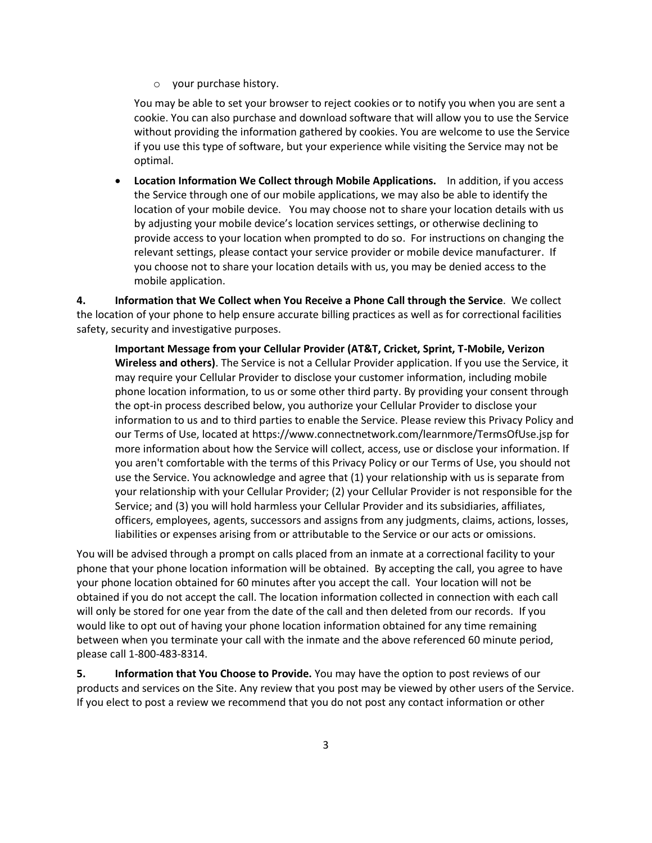o your purchase history.

You may be able to set your browser to reject cookies or to notify you when you are sent a cookie. You can also purchase and download software that will allow you to use the Service without providing the information gathered by cookies. You are welcome to use the Service if you use this type of software, but your experience while visiting the Service may not be optimal.

**• Location Information We Collect through Mobile Applications.** In addition, if you access the Service through one of our mobile applications, we may also be able to identify the location of your mobile device. You may choose not to share your location details with us by adjusting your mobile device's location services settings, or otherwise declining to provide access to your location when prompted to do so. For instructions on changing the relevant settings, please contact your service provider or mobile device manufacturer. If you choose not to share your location details with us, you may be denied access to the mobile application.

**4. Information that We Collect when You Receive a Phone Call through the Service**. We collect the location of your phone to help ensure accurate billing practices as well as for correctional facilities safety, security and investigative purposes.

**Important Message from your Cellular Provider (AT&T, Cricket, Sprint, T-Mobile, Verizon Wireless and others)**. The Service is not a Cellular Provider application. If you use the Service, it may require your Cellular Provider to disclose your customer information, including mobile phone location information, to us or some other third party. By providing your consent through the opt-in process described below, you authorize your Cellular Provider to disclose your information to us and to third parties to enable the Service. Please review this Privacy Policy and our Terms of Use, located at https://www.connectnetwork.com/learnmore/TermsOfUse.jsp for more information about how the Service will collect, access, use or disclose your information. If you aren't comfortable with the terms of this Privacy Policy or our Terms of Use, you should not use the Service. You acknowledge and agree that (1) your relationship with us is separate from your relationship with your Cellular Provider; (2) your Cellular Provider is not responsible for the Service; and (3) you will hold harmless your Cellular Provider and its subsidiaries, affiliates, officers, employees, agents, successors and assigns from any judgments, claims, actions, losses, liabilities or expenses arising from or attributable to the Service or our acts or omissions.

You will be advised through a prompt on calls placed from an inmate at a correctional facility to your phone that your phone location information will be obtained. By accepting the call, you agree to have your phone location obtained for 60 minutes after you accept the call. Your location will not be obtained if you do not accept the call. The location information collected in connection with each call will only be stored for one year from the date of the call and then deleted from our records. If you would like to opt out of having your phone location information obtained for any time remaining between when you terminate your call with the inmate and the above referenced 60 minute period, please call 1-800-483-8314.

**5. Information that You Choose to Provide.** You may have the option to post reviews of our products and services on the Site. Any review that you post may be viewed by other users of the Service. If you elect to post a review we recommend that you do not post any contact information or other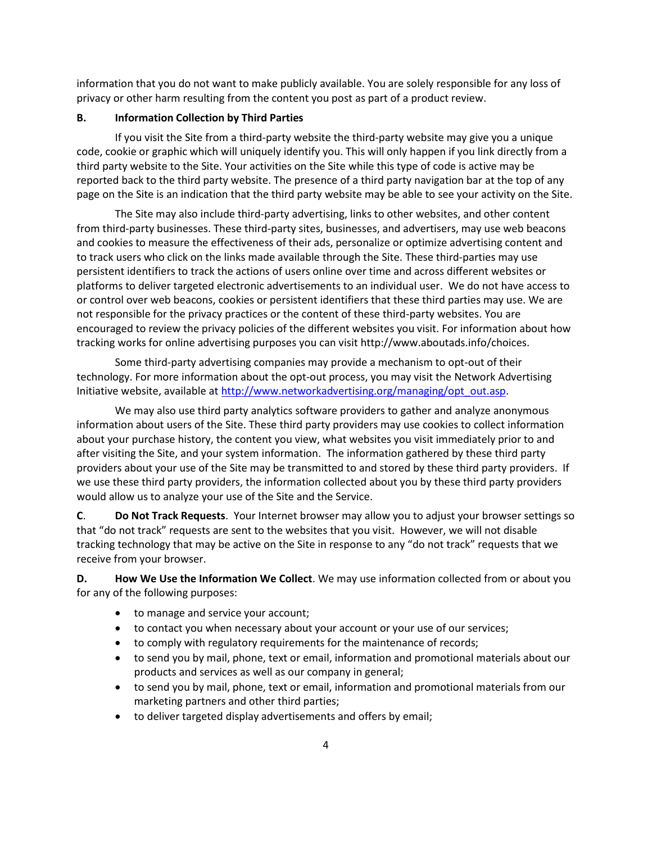information that you do not want to make publicly available. You are solely responsible for any loss of privacy or other harm resulting from the content you post as part of a product review.

#### **B. Information Collection by Third Parties**

If you visit the Site from a third-party website the third-party website may give you a unique code, cookie or graphic which will uniquely identify you. This will only happen if you link directly from a third party website to the Site. Your activities on the Site while this type of code is active may be reported back to the third party website. The presence of a third party navigation bar at the top of any page on the Site is an indication that the third party website may be able to see your activity on the Site.

The Site may also include third-party advertising, links to other websites, and other content from third-party businesses. These third-party sites, businesses, and advertisers, may use web beacons and cookies to measure the effectiveness of their ads, personalize or optimize advertising content and to track users who click on the links made available through the Site. These third-parties may use persistent identifiers to track the actions of users online over time and across different websites or platforms to deliver targeted electronic advertisements to an individual user. We do not have access to or control over web beacons, cookies or persistent identifiers that these third parties may use. We are not responsible for the privacy practices or the content of these third-party websites. You are encouraged to review the privacy policies of the different websites you visit. For information about how tracking works for online advertising purposes you can visit http://www.aboutads.info/choices.

Some third-party advertising companies may provide a mechanism to opt-out of their technology. For more information about the opt-out process, you may visit the Network Advertising Initiative website, available a[t http://www.networkadvertising.org/managing/opt\\_out.asp.](http://www.networkadvertising.org/managing/opt_out.asp)

We may also use third party analytics software providers to gather and analyze anonymous information about users of the Site. These third party providers may use cookies to collect information about your purchase history, the content you view, what websites you visit immediately prior to and after visiting the Site, and your system information. The information gathered by these third party providers about your use of the Site may be transmitted to and stored by these third party providers. If we use these third party providers, the information collected about you by these third party providers would allow us to analyze your use of the Site and the Service.

**C**. **Do Not Track Requests**. Your Internet browser may allow you to adjust your browser settings so that "do not track" requests are sent to the websites that you visit. However, we will not disable tracking technology that may be active on the Site in response to any "do not track" requests that we receive from your browser.

**D. How We Use the Information We Collect**. We may use information collected from or about you for any of the following purposes:

- to manage and service your account;
- to contact you when necessary about your account or your use of our services;
- to comply with regulatory requirements for the maintenance of records;
- to send you by mail, phone, text or email, information and promotional materials about our products and services as well as our company in general;
- to send you by mail, phone, text or email, information and promotional materials from our marketing partners and other third parties;
- to deliver targeted display advertisements and offers by email;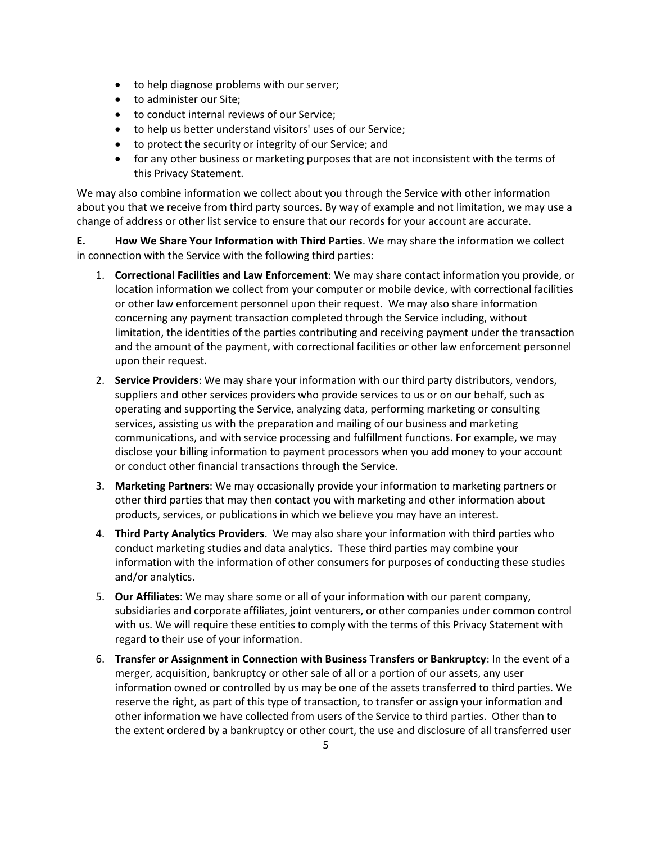- $\bullet$  to help diagnose problems with our server;
- to administer our Site;
- $\bullet$  to conduct internal reviews of our Service;
- to help us better understand visitors' uses of our Service;
- to protect the security or integrity of our Service; and
- for any other business or marketing purposes that are not inconsistent with the terms of this Privacy Statement.

We may also combine information we collect about you through the Service with other information about you that we receive from third party sources. By way of example and not limitation, we may use a change of address or other list service to ensure that our records for your account are accurate.

**E. How We Share Your Information with Third Parties**. We may share the information we collect in connection with the Service with the following third parties:

- 1. **Correctional Facilities and Law Enforcement**: We may share contact information you provide, or location information we collect from your computer or mobile device, with correctional facilities or other law enforcement personnel upon their request. We may also share information concerning any payment transaction completed through the Service including, without limitation, the identities of the parties contributing and receiving payment under the transaction and the amount of the payment, with correctional facilities or other law enforcement personnel upon their request.
- 2. **Service Providers**: We may share your information with our third party distributors, vendors, suppliers and other services providers who provide services to us or on our behalf, such as operating and supporting the Service, analyzing data, performing marketing or consulting services, assisting us with the preparation and mailing of our business and marketing communications, and with service processing and fulfillment functions. For example, we may disclose your billing information to payment processors when you add money to your account or conduct other financial transactions through the Service.
- 3. **Marketing Partners**: We may occasionally provide your information to marketing partners or other third parties that may then contact you with marketing and other information about products, services, or publications in which we believe you may have an interest.
- 4. **Third Party Analytics Providers**. We may also share your information with third parties who conduct marketing studies and data analytics. These third parties may combine your information with the information of other consumers for purposes of conducting these studies and/or analytics.
- 5. **Our Affiliates**: We may share some or all of your information with our parent company, subsidiaries and corporate affiliates, joint venturers, or other companies under common control with us. We will require these entities to comply with the terms of this Privacy Statement with regard to their use of your information.
- 6. **Transfer or Assignment in Connection with Business Transfers or Bankruptcy**: In the event of a merger, acquisition, bankruptcy or other sale of all or a portion of our assets, any user information owned or controlled by us may be one of the assets transferred to third parties. We reserve the right, as part of this type of transaction, to transfer or assign your information and other information we have collected from users of the Service to third parties. Other than to the extent ordered by a bankruptcy or other court, the use and disclosure of all transferred user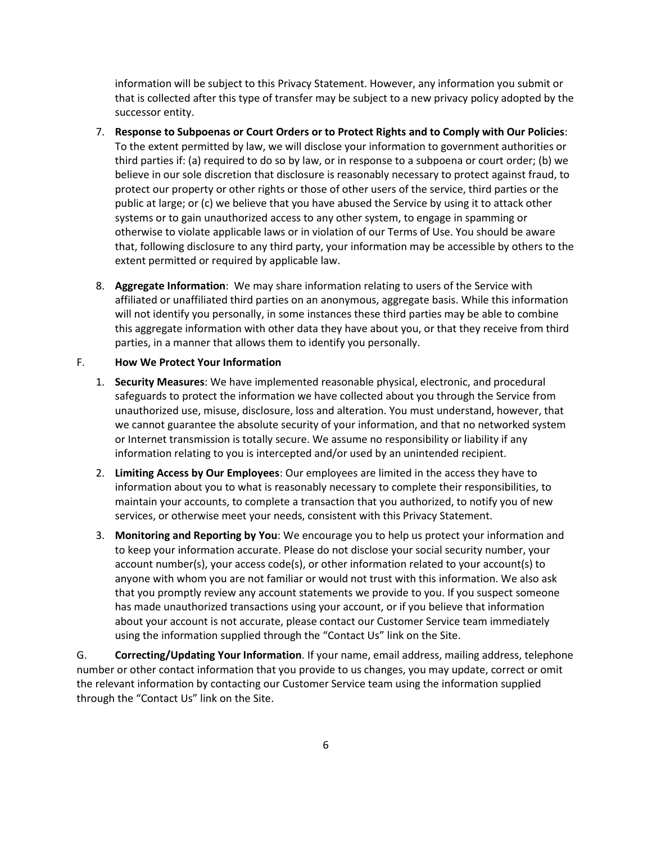information will be subject to this Privacy Statement. However, any information you submit or that is collected after this type of transfer may be subject to a new privacy policy adopted by the successor entity.

- 7. **Response to Subpoenas or Court Orders or to Protect Rights and to Comply with Our Policies**: To the extent permitted by law, we will disclose your information to government authorities or third parties if: (a) required to do so by law, or in response to a subpoena or court order; (b) we believe in our sole discretion that disclosure is reasonably necessary to protect against fraud, to protect our property or other rights or those of other users of the service, third parties or the public at large; or (c) we believe that you have abused the Service by using it to attack other systems or to gain unauthorized access to any other system, to engage in spamming or otherwise to violate applicable laws or in violation of our Terms of Use. You should be aware that, following disclosure to any third party, your information may be accessible by others to the extent permitted or required by applicable law.
- 8. **Aggregate Information**: We may share information relating to users of the Service with affiliated or unaffiliated third parties on an anonymous, aggregate basis. While this information will not identify you personally, in some instances these third parties may be able to combine this aggregate information with other data they have about you, or that they receive from third parties, in a manner that allows them to identify you personally.

#### F. **How We Protect Your Information**

- 1. **Security Measures**: We have implemented reasonable physical, electronic, and procedural safeguards to protect the information we have collected about you through the Service from unauthorized use, misuse, disclosure, loss and alteration. You must understand, however, that we cannot guarantee the absolute security of your information, and that no networked system or Internet transmission is totally secure. We assume no responsibility or liability if any information relating to you is intercepted and/or used by an unintended recipient.
- 2. **Limiting Access by Our Employees**: Our employees are limited in the access they have to information about you to what is reasonably necessary to complete their responsibilities, to maintain your accounts, to complete a transaction that you authorized, to notify you of new services, or otherwise meet your needs, consistent with this Privacy Statement.
- 3. **Monitoring and Reporting by You**: We encourage you to help us protect your information and to keep your information accurate. Please do not disclose your social security number, your account number(s), your access code(s), or other information related to your account(s) to anyone with whom you are not familiar or would not trust with this information. We also ask that you promptly review any account statements we provide to you. If you suspect someone has made unauthorized transactions using your account, or if you believe that information about your account is not accurate, please contact our Customer Service team immediately using the information supplied through the "Contact Us" link on the Site.

G. **Correcting/Updating Your Information**. If your name, email address, mailing address, telephone number or other contact information that you provide to us changes, you may update, correct or omit the relevant information by contacting our Customer Service team using the information supplied through the "Contact Us" link on the Site.